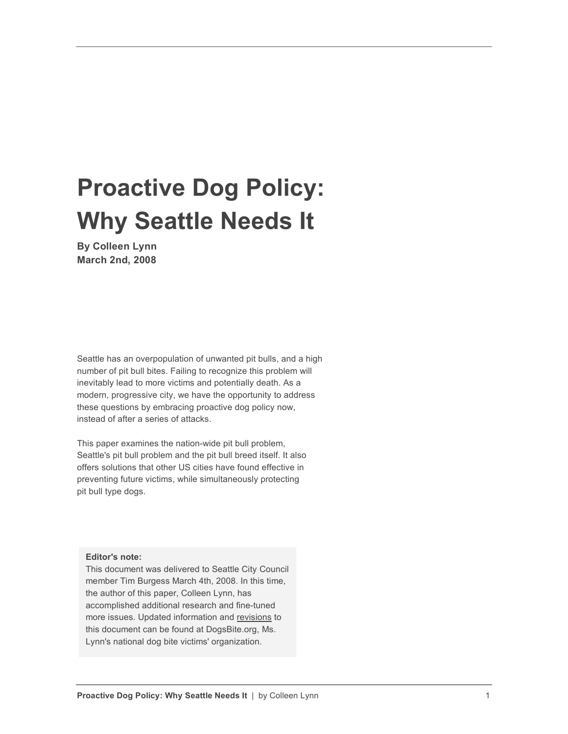# **Proactive Dog Policy: Why Seattle Needs It**

**By Colleen Lynn March 2nd, 2008**

Seattle has an overpopulation of unwanted pit bulls, and a high number of pit bull bites. Failing to recognize this problem will inevitably lead to more victims and potentially death. As a modern, progressive city, we have the opportunity to address these questions by embracing proactive dog policy now, instead of after a series of attacks.

This paper examines the nation-wide pit bull problem, Seattle's pit bull problem and the pit bull breed itself. It also offers solutions that other US cities have found effective in preventing future victims, while simultaneously protecting pit bull type dogs.

**Editor's note:**

This document was delivered to Seattle City Council member Tim Burgess March 4th, 2008. In this time, the author of this paper, Colleen Lynn, has accomplished additional research and fine-tuned more issues. Updated information and revisions to this document can be found at DogsBite.org, Ms. Lynn's national dog bite victims' organization.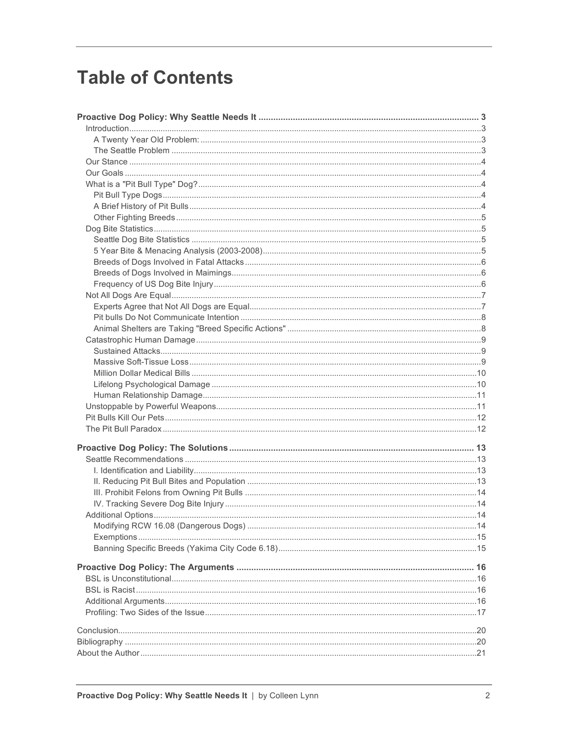## **Table of Contents**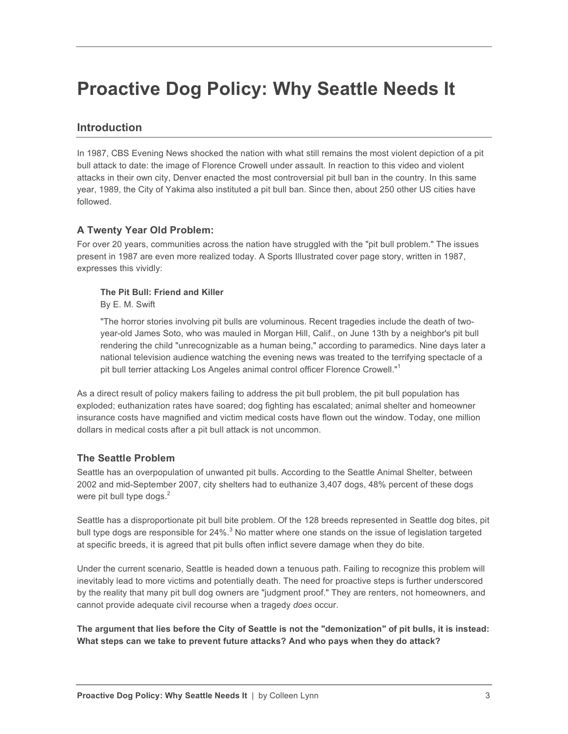## **Proactive Dog Policy: Why Seattle Needs It**

### **Introduction**

In 1987, CBS Evening News shocked the nation with what still remains the most violent depiction of a pit bull attack to date: the image of Florence Crowell under assault. In reaction to this video and violent attacks in their own city, Denver enacted the most controversial pit bull ban in the country. In this same year, 1989, the City of Yakima also instituted a pit bull ban. Since then, about 250 other US cities have followed.

#### **A Twenty Year Old Problem:**

For over 20 years, communities across the nation have struggled with the "pit bull problem." The issues present in 1987 are even more realized today. A Sports Illustrated cover page story, written in 1987, expresses this vividly:

#### **The Pit Bull: Friend and Killer**

By E. M. Swift

"The horror stories involving pit bulls are voluminous. Recent tragedies include the death of twoyear-old James Soto, who was mauled in Morgan Hill, Calif., on June 13th by a neighbor's pit bull rendering the child "unrecognizable as a human being," according to paramedics. Nine days later a national television audience watching the evening news was treated to the terrifying spectacle of a pit bull terrier attacking Los Angeles animal control officer Florence Crowell."<sup>1</sup>

As a direct result of policy makers failing to address the pit bull problem, the pit bull population has exploded; euthanization rates have soared; dog fighting has escalated; animal shelter and homeowner insurance costs have magnified and victim medical costs have flown out the window. Today, one million dollars in medical costs after a pit bull attack is not uncommon.

#### **The Seattle Problem**

Seattle has an overpopulation of unwanted pit bulls. According to the Seattle Animal Shelter, between 2002 and mid-September 2007, city shelters had to euthanize 3,407 dogs, 48% percent of these dogs were pit bull type dogs. $<sup>2</sup>$ </sup>

Seattle has a disproportionate pit bull bite problem. Of the 128 breeds represented in Seattle dog bites, pit bull type dogs are responsible for 24%. $3$  No matter where one stands on the issue of legislation targeted at specific breeds, it is agreed that pit bulls often inflict severe damage when they do bite.

Under the current scenario, Seattle is headed down a tenuous path. Failing to recognize this problem will inevitably lead to more victims and potentially death. The need for proactive steps is further underscored by the reality that many pit bull dog owners are "judgment proof." They are renters, not homeowners, and cannot provide adequate civil recourse when a tragedy *does* occur.

**The argument that lies before the City of Seattle is not the "demonization" of pit bulls, it is instead: What steps can we take to prevent future attacks? And who pays when they do attack?**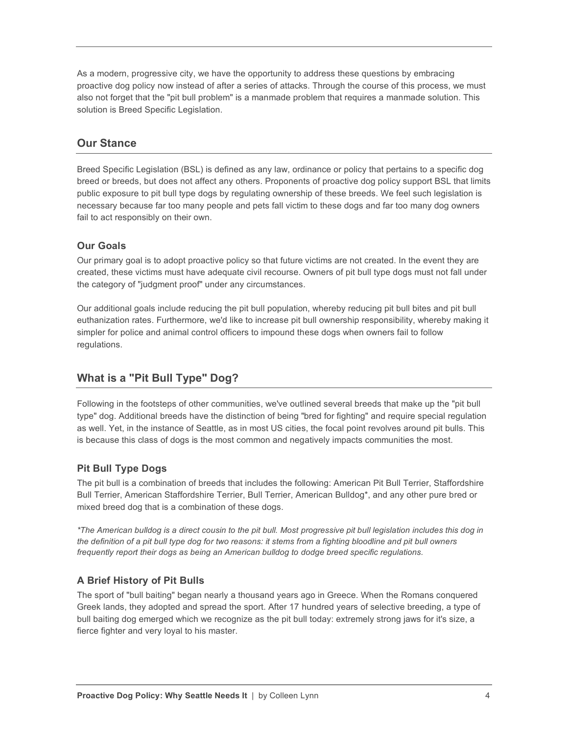As a modern, progressive city, we have the opportunity to address these questions by embracing proactive dog policy now instead of after a series of attacks. Through the course of this process, we must also not forget that the "pit bull problem" is a manmade problem that requires a manmade solution. This solution is Breed Specific Legislation.

#### **Our Stance**

Breed Specific Legislation (BSL) is defined as any law, ordinance or policy that pertains to a specific dog breed or breeds, but does not affect any others. Proponents of proactive dog policy support BSL that limits public exposure to pit bull type dogs by regulating ownership of these breeds. We feel such legislation is necessary because far too many people and pets fall victim to these dogs and far too many dog owners fail to act responsibly on their own.

#### **Our Goals**

Our primary goal is to adopt proactive policy so that future victims are not created. In the event they are created, these victims must have adequate civil recourse. Owners of pit bull type dogs must not fall under the category of "judgment proof" under any circumstances.

Our additional goals include reducing the pit bull population, whereby reducing pit bull bites and pit bull euthanization rates. Furthermore, we'd like to increase pit bull ownership responsibility, whereby making it simpler for police and animal control officers to impound these dogs when owners fail to follow regulations.

### **What is a "Pit Bull Type" Dog?**

Following in the footsteps of other communities, we've outlined several breeds that make up the "pit bull type" dog. Additional breeds have the distinction of being "bred for fighting" and require special regulation as well. Yet, in the instance of Seattle, as in most US cities, the focal point revolves around pit bulls. This is because this class of dogs is the most common and negatively impacts communities the most.

### **Pit Bull Type Dogs**

The pit bull is a combination of breeds that includes the following: American Pit Bull Terrier, Staffordshire Bull Terrier, American Staffordshire Terrier, Bull Terrier, American Bulldog\*, and any other pure bred or mixed breed dog that is a combination of these dogs.

*\*The American bulldog is a direct cousin to the pit bull. Most progressive pit bull legislation includes this dog in the definition of a pit bull type dog for two reasons: it stems from a fighting bloodline and pit bull owners frequently report their dogs as being an American bulldog to dodge breed specific regulations.*

#### **A Brief History of Pit Bulls**

The sport of "bull baiting" began nearly a thousand years ago in Greece. When the Romans conquered Greek lands, they adopted and spread the sport. After 17 hundred years of selective breeding, a type of bull baiting dog emerged which we recognize as the pit bull today: extremely strong jaws for it's size, a fierce fighter and very loyal to his master.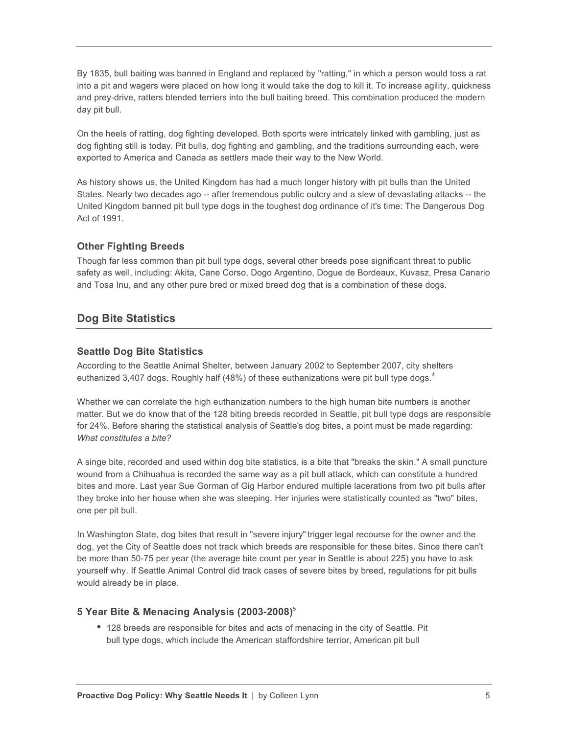By 1835, bull baiting was banned in England and replaced by "ratting," in which a person would toss a rat into a pit and wagers were placed on how long it would take the dog to kill it. To increase agility, quickness and prey-drive, ratters blended terriers into the bull baiting breed. This combination produced the modern day pit bull.

On the heels of ratting, dog fighting developed. Both sports were intricately linked with gambling, just as dog fighting still is today. Pit bulls, dog fighting and gambling, and the traditions surrounding each, were exported to America and Canada as settlers made their way to the New World.

As history shows us, the United Kingdom has had a much longer history with pit bulls than the United States. Nearly two decades ago -- after tremendous public outcry and a slew of devastating attacks -- the United Kingdom banned pit bull type dogs in the toughest dog ordinance of it's time: The Dangerous Dog Act of 1991.

#### **Other Fighting Breeds**

Though far less common than pit bull type dogs, several other breeds pose significant threat to public safety as well, including: Akita, Cane Corso, Dogo Argentino, Dogue de Bordeaux, Kuvasz, Presa Canario and Tosa Inu, and any other pure bred or mixed breed dog that is a combination of these dogs.

### **Dog Bite Statistics**

#### **Seattle Dog Bite Statistics**

According to the Seattle Animal Shelter, between January 2002 to September 2007, city shelters euthanized 3,407 dogs. Roughly half (48%) of these euthanizations were pit bull type dogs. $4$ 

Whether we can correlate the high euthanization numbers to the high human bite numbers is another matter. But we do know that of the 128 biting breeds recorded in Seattle, pit bull type dogs are responsible for 24%. Before sharing the statistical analysis of Seattle's dog bites, a point must be made regarding: *What constitutes a bite?*

A singe bite, recorded and used within dog bite statistics, is a bite that "breaks the skin." A small puncture wound from a Chihuahua is recorded the same way as a pit bull attack, which can constitute a hundred bites and more. Last year Sue Gorman of Gig Harbor endured multiple lacerations from two pit bulls after they broke into her house when she was sleeping. Her injuries were statistically counted as "two" bites, one per pit bull.

In Washington State, dog bites that result in "severe injury" trigger legal recourse for the owner and the dog, yet the City of Seattle does not track which breeds are responsible for these bites. Since there can't be more than 50-75 per year (the average bite count per year in Seattle is about 225) you have to ask yourself why. If Seattle Animal Control did track cases of severe bites by breed, regulations for pit bulls would already be in place.

#### **5 Year Bite & Menacing Analysis (2003-2008)**<sup>5</sup>

• 128 breeds are responsible for bites and acts of menacing in the city of Seattle. Pit bull type dogs, which include the American staffordshire terrior, American pit bull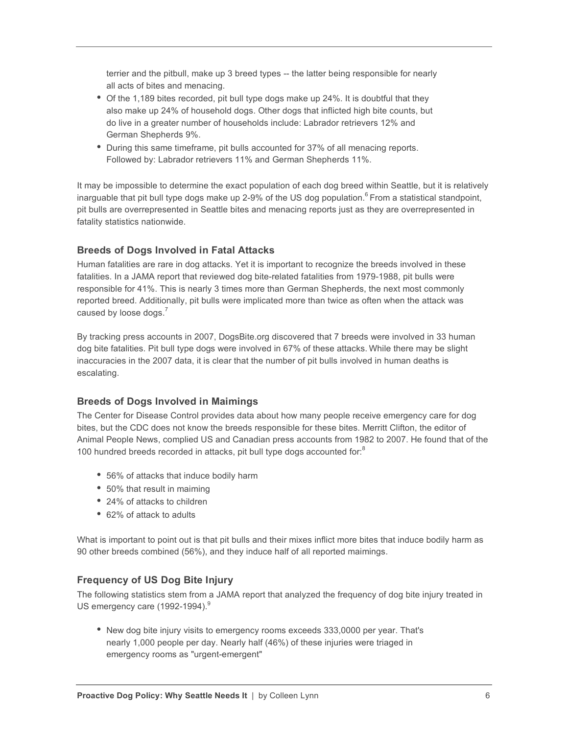terrier and the pitbull, make up 3 breed types -- the latter being responsible for nearly all acts of bites and menacing.

- Of the 1,189 bites recorded, pit bull type dogs make up 24%. It is doubtful that they also make up 24% of household dogs. Other dogs that inflicted high bite counts, but do live in a greater number of households include: Labrador retrievers 12% and German Shepherds 9%.
- During this same timeframe, pit bulls accounted for 37% of all menacing reports. Followed by: Labrador retrievers 11% and German Shepherds 11%.

It may be impossible to determine the exact population of each dog breed within Seattle, but it is relatively inarguable that pit bull type dogs make up 2-9% of the US dog population.<sup>6</sup> From a statistical standpoint, pit bulls are overrepresented in Seattle bites and menacing reports just as they are overrepresented in fatality statistics nationwide.

#### **Breeds of Dogs Involved in Fatal Attacks**

Human fatalities are rare in dog attacks. Yet it is important to recognize the breeds involved in these fatalities. In a JAMA report that reviewed dog bite-related fatalities from 1979-1988, pit bulls were responsible for 41%. This is nearly 3 times more than German Shepherds, the next most commonly reported breed. Additionally, pit bulls were implicated more than twice as often when the attack was caused by loose dogs. $<sup>7</sup>$ </sup>

By tracking press accounts in 2007, DogsBite.org discovered that 7 breeds were involved in 33 human dog bite fatalities. Pit bull type dogs were involved in 67% of these attacks. While there may be slight inaccuracies in the 2007 data, it is clear that the number of pit bulls involved in human deaths is escalating.

#### **Breeds of Dogs Involved in Maimings**

The Center for Disease Control provides data about how many people receive emergency care for dog bites, but the CDC does not know the breeds responsible for these bites. Merritt Clifton, the editor of Animal People News, complied US and Canadian press accounts from 1982 to 2007. He found that of the 100 hundred breeds recorded in attacks, pit bull type dogs accounted for:<sup>8</sup>

- 56% of attacks that induce bodily harm
- 50% that result in maiming
- 24% of attacks to children
- 62% of attack to adults

What is important to point out is that pit bulls and their mixes inflict more bites that induce bodily harm as 90 other breeds combined (56%), and they induce half of all reported maimings.

#### **Frequency of US Dog Bite Injury**

The following statistics stem from a JAMA report that analyzed the frequency of dog bite injury treated in US emergency care (1992-1994).<sup>9</sup>

• New dog bite injury visits to emergency rooms exceeds 333,0000 per year. That's nearly 1,000 people per day. Nearly half (46%) of these injuries were triaged in emergency rooms as "urgent-emergent"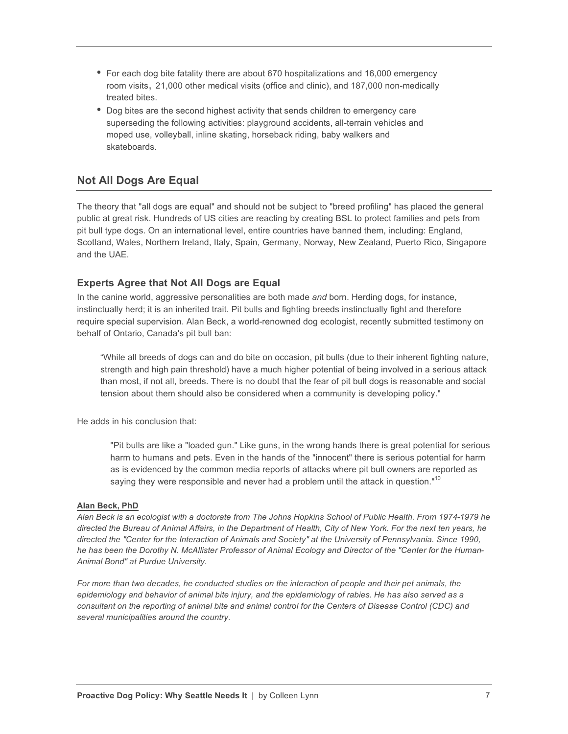- For each dog bite fatality there are about 670 hospitalizations and 16,000 emergency room visits, 21,000 other medical visits (office and clinic), and 187,000 non-medically treated bites.
- Dog bites are the second highest activity that sends children to emergency care superseding the following activities: playground accidents, all-terrain vehicles and moped use, volleyball, inline skating, horseback riding, baby walkers and skateboards.

### **Not All Dogs Are Equal**

The theory that "all dogs are equal" and should not be subject to "breed profiling" has placed the general public at great risk. Hundreds of US cities are reacting by creating BSL to protect families and pets from pit bull type dogs. On an international level, entire countries have banned them, including: England, Scotland, Wales, Northern Ireland, Italy, Spain, Germany, Norway, New Zealand, Puerto Rico, Singapore and the UAE.

#### **Experts Agree that Not All Dogs are Equal**

In the canine world, aggressive personalities are both made *and* born. Herding dogs, for instance, instinctually herd; it is an inherited trait. Pit bulls and fighting breeds instinctually fight and therefore require special supervision. Alan Beck, a world-renowned dog ecologist, recently submitted testimony on behalf of Ontario, Canada's pit bull ban:

"While all breeds of dogs can and do bite on occasion, pit bulls (due to their inherent fighting nature, strength and high pain threshold) have a much higher potential of being involved in a serious attack than most, if not all, breeds. There is no doubt that the fear of pit bull dogs is reasonable and social tension about them should also be considered when a community is developing policy."

He adds in his conclusion that:

"Pit bulls are like a "loaded gun." Like guns, in the wrong hands there is great potential for serious harm to humans and pets. Even in the hands of the "innocent" there is serious potential for harm as is evidenced by the common media reports of attacks where pit bull owners are reported as saying they were responsible and never had a problem until the attack in question."<sup>10</sup>

#### **Alan Beck, PhD**

*Alan Beck is an ecologist with a doctorate from The Johns Hopkins School of Public Health. From 1974-1979 he directed the Bureau of Animal Affairs, in the Department of Health, City of New York. For the next ten years, he*  directed the "Center for the Interaction of Animals and Society" at the University of Pennsylvania. Since 1990, *he has been the Dorothy N. McAllister Professor of Animal Ecology and Director of the "Center for the Human-Animal Bond" at Purdue University.*

*For more than two decades, he conducted studies on the interaction of people and their pet animals, the epidemiology and behavior of animal bite injury, and the epidemiology of rabies. He has also served as a consultant on the reporting of animal bite and animal control for the Centers of Disease Control (CDC) and several municipalities around the country.*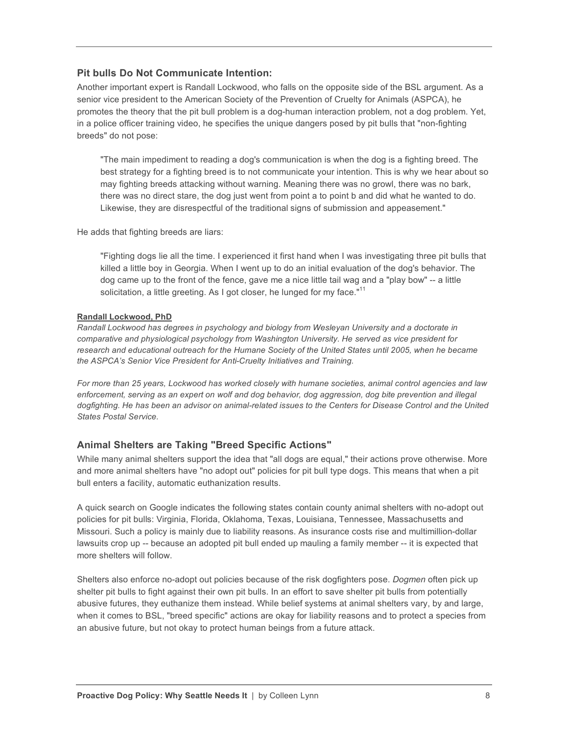#### **Pit bulls Do Not Communicate Intention:**

Another important expert is Randall Lockwood, who falls on the opposite side of the BSL argument. As a senior vice president to the American Society of the Prevention of Cruelty for Animals (ASPCA), he promotes the theory that the pit bull problem is a dog-human interaction problem, not a dog problem. Yet, in a police officer training video, he specifies the unique dangers posed by pit bulls that "non-fighting breeds" do not pose:

"The main impediment to reading a dog's communication is when the dog is a fighting breed. The best strategy for a fighting breed is to not communicate your intention. This is why we hear about so may fighting breeds attacking without warning. Meaning there was no growl, there was no bark, there was no direct stare, the dog just went from point a to point b and did what he wanted to do. Likewise, they are disrespectful of the traditional signs of submission and appeasement."

He adds that fighting breeds are liars:

"Fighting dogs lie all the time. I experienced it first hand when I was investigating three pit bulls that killed a little boy in Georgia. When I went up to do an initial evaluation of the dog's behavior. The dog came up to the front of the fence, gave me a nice little tail wag and a "play bow" -- a little solicitation, a little greeting. As I got closer, he lunged for my face."<sup>11</sup>

#### **Randall Lockwood, PhD**

*Randall Lockwood has degrees in psychology and biology from Wesleyan University and a doctorate in comparative and physiological psychology from Washington University. He served as vice president for research and educational outreach for the Humane Society of the United States until 2005, when he became the ASPCA's Senior Vice President for Anti-Cruelty Initiatives and Training.* 

*For more than 25 years, Lockwood has worked closely with humane societies, animal control agencies and law enforcement, serving as an expert on wolf and dog behavior, dog aggression, dog bite prevention and illegal*  dogfighting. He has been an advisor on animal-related issues to the Centers for Disease Control and the United *States Postal Service.* 

#### **Animal Shelters are Taking "Breed Specific Actions"**

While many animal shelters support the idea that "all dogs are equal," their actions prove otherwise. More and more animal shelters have "no adopt out" policies for pit bull type dogs. This means that when a pit bull enters a facility, automatic euthanization results.

A quick search on Google indicates the following states contain county animal shelters with no-adopt out policies for pit bulls: Virginia, Florida, Oklahoma, Texas, Louisiana, Tennessee, Massachusetts and Missouri. Such a policy is mainly due to liability reasons. As insurance costs rise and multimillion-dollar lawsuits crop up -- because an adopted pit bull ended up mauling a family member -- it is expected that more shelters will follow.

Shelters also enforce no-adopt out policies because of the risk dogfighters pose. *Dogmen* often pick up shelter pit bulls to fight against their own pit bulls. In an effort to save shelter pit bulls from potentially abusive futures, they euthanize them instead. While belief systems at animal shelters vary, by and large, when it comes to BSL, "breed specific" actions are okay for liability reasons and to protect a species from an abusive future, but not okay to protect human beings from a future attack.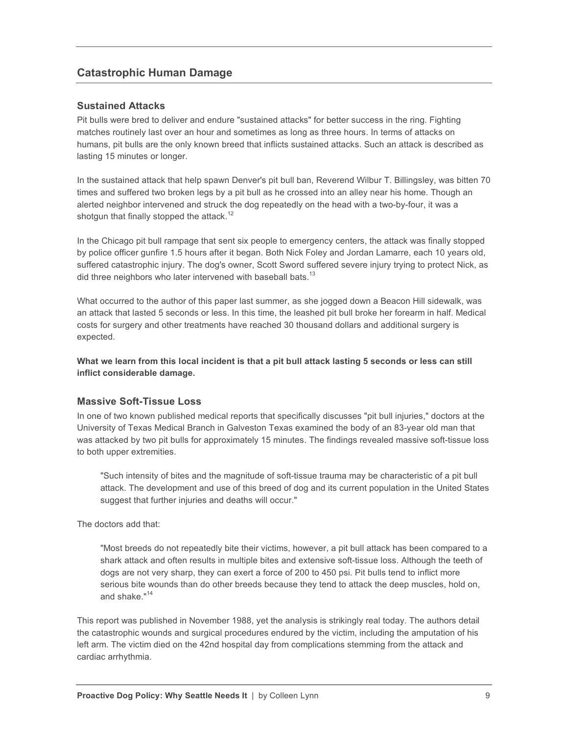### **Catastrophic Human Damage**

#### **Sustained Attacks**

Pit bulls were bred to deliver and endure "sustained attacks" for better success in the ring. Fighting matches routinely last over an hour and sometimes as long as three hours. In terms of attacks on humans, pit bulls are the only known breed that inflicts sustained attacks. Such an attack is described as lasting 15 minutes or longer.

In the sustained attack that help spawn Denver's pit bull ban, Reverend Wilbur T. Billingsley, was bitten 70 times and suffered two broken legs by a pit bull as he crossed into an alley near his home. Though an alerted neighbor intervened and struck the dog repeatedly on the head with a two-by-four, it was a shotgun that finally stopped the attack.<sup>12</sup>

In the Chicago pit bull rampage that sent six people to emergency centers, the attack was finally stopped by police officer gunfire 1.5 hours after it began. Both Nick Foley and Jordan Lamarre, each 10 years old, suffered catastrophic injury. The dog's owner, Scott Sword suffered severe injury trying to protect Nick, as did three neighbors who later intervened with baseball bats.<sup>13</sup>

What occurred to the author of this paper last summer, as she jogged down a Beacon Hill sidewalk, was an attack that lasted 5 seconds or less. In this time, the leashed pit bull broke her forearm in half. Medical costs for surgery and other treatments have reached 30 thousand dollars and additional surgery is expected.

**What we learn from this local incident is that a pit bull attack lasting 5 seconds or less can still inflict considerable damage.** 

#### **Massive Soft-Tissue Loss**

In one of two known published medical reports that specifically discusses "pit bull injuries," doctors at the University of Texas Medical Branch in Galveston Texas examined the body of an 83-year old man that was attacked by two pit bulls for approximately 15 minutes. The findings revealed massive soft-tissue loss to both upper extremities.

"Such intensity of bites and the magnitude of soft-tissue trauma may be characteristic of a pit bull attack. The development and use of this breed of dog and its current population in the United States suggest that further injuries and deaths will occur."

The doctors add that:

"Most breeds do not repeatedly bite their victims, however, a pit bull attack has been compared to a shark attack and often results in multiple bites and extensive soft-tissue loss. Although the teeth of dogs are not very sharp, they can exert a force of 200 to 450 psi. Pit bulls tend to inflict more serious bite wounds than do other breeds because they tend to attack the deep muscles, hold on, and shake."<sup>14</sup>

This report was published in November 1988, yet the analysis is strikingly real today. The authors detail the catastrophic wounds and surgical procedures endured by the victim, including the amputation of his left arm. The victim died on the 42nd hospital day from complications stemming from the attack and cardiac arrhythmia.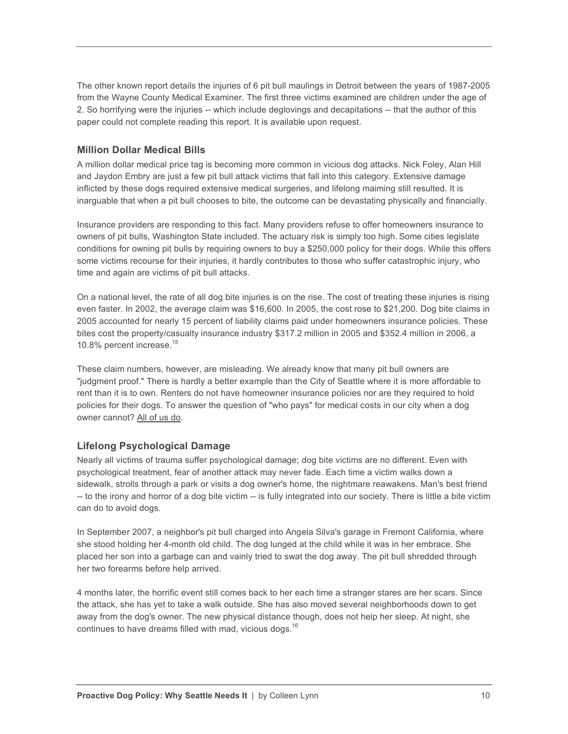The other known report details the injuries of 6 pit bull maulings in Detroit between the years of 1987-2005 from the Wayne County Medical Examiner. The first three victims examined are children under the age of 2. So horrifying were the injuries -- which include deglovings and decapitations -- that the author of this paper could not complete reading this report. It is available upon request.

#### **Million Dollar Medical Bills**

A million dollar medical price tag is becoming more common in vicious dog attacks. Nick Foley, Alan Hill and Jaydon Embry are just a few pit bull attack victims that fall into this category. Extensive damage inflicted by these dogs required extensive medical surgeries, and lifelong maiming still resulted. It is inarguable that when a pit bull chooses to bite, the outcome can be devastating physically and financially.

Insurance providers are responding to this fact. Many providers refuse to offer homeowners insurance to owners of pit bulls, Washington State included. The actuary risk is simply too high. Some cities legislate conditions for owning pit bulls by requiring owners to buy a \$250,000 policy for their dogs. While this offers some victims recourse for their injuries, it hardly contributes to those who suffer catastrophic injury, who time and again are victims of pit bull attacks.

On a national level, the rate of all dog bite injuries is on the rise. The cost of treating these injuries is rising even faster. In 2002, the average claim was \$16,600. In 2005, the cost rose to \$21,200. Dog bite claims in 2005 accounted for nearly 15 percent of liability claims paid under homeowners insurance policies. These bites cost the property/casualty insurance industry \$317.2 million in 2005 and \$352.4 million in 2006, a 10.8% percent increase.<sup>15</sup>

These claim numbers, however, are misleading. We already know that many pit bull owners are "judgment proof." There is hardly a better example than the City of Seattle where it is more affordable to rent than it is to own. Renters do not have homeowner insurance policies nor are they required to hold policies for their dogs. To answer the question of "who pays" for medical costs in our city when a dog owner cannot? All of us do.

### **Lifelong Psychological Damage**

Nearly all victims of trauma suffer psychological damage; dog bite victims are no different. Even with psychological treatment, fear of another attack may never fade. Each time a victim walks down a sidewalk, strolls through a park or visits a dog owner's home, the nightmare reawakens. Man's best friend -- to the irony and horror of a dog bite victim -- is fully integrated into our society. There is little a bite victim can do to avoid dogs.

In September 2007, a neighbor's pit bull charged into Angela Silva's garage in Fremont California, where she stood holding her 4-month old child. The dog lunged at the child while it was in her embrace. She placed her son into a garbage can and vainly tried to swat the dog away. The pit bull shredded through her two forearms before help arrived.

4 months later, the horrific event still comes back to her each time a stranger stares are her scars. Since the attack, she has yet to take a walk outside. She has also moved several neighborhoods down to get away from the dog's owner. The new physical distance though, does not help her sleep. At night, she continues to have dreams filled with mad, vicious dogs.<sup>16</sup>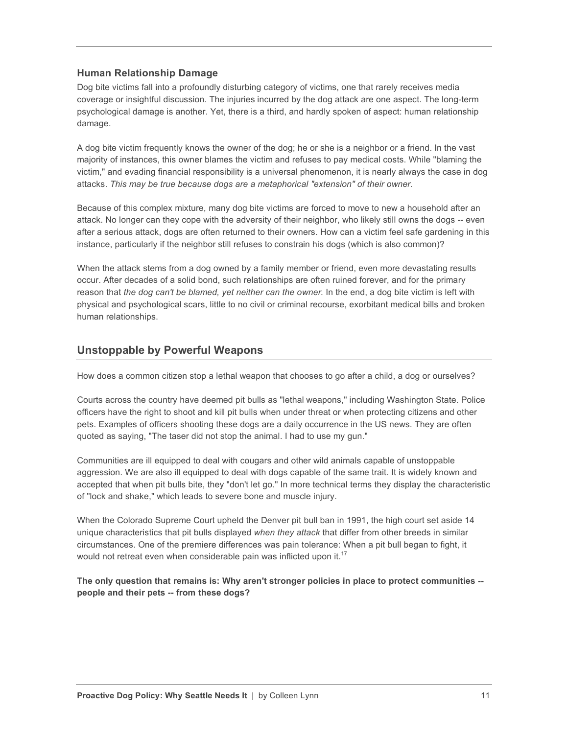#### **Human Relationship Damage**

Dog bite victims fall into a profoundly disturbing category of victims, one that rarely receives media coverage or insightful discussion. The injuries incurred by the dog attack are one aspect. The long-term psychological damage is another. Yet, there is a third, and hardly spoken of aspect: human relationship damage.

A dog bite victim frequently knows the owner of the dog; he or she is a neighbor or a friend. In the vast majority of instances, this owner blames the victim and refuses to pay medical costs. While "blaming the victim," and evading financial responsibility is a universal phenomenon, it is nearly always the case in dog attacks. *This may be true because dogs are a metaphorical "extension" of their owner.*

Because of this complex mixture, many dog bite victims are forced to move to new a household after an attack. No longer can they cope with the adversity of their neighbor, who likely still owns the dogs -- even after a serious attack, dogs are often returned to their owners. How can a victim feel safe gardening in this instance, particularly if the neighbor still refuses to constrain his dogs (which is also common)?

When the attack stems from a dog owned by a family member or friend, even more devastating results occur. After decades of a solid bond, such relationships are often ruined forever, and for the primary reason that *the dog can't be blamed, yet neither can the owner.* In the end, a dog bite victim is left with physical and psychological scars, little to no civil or criminal recourse, exorbitant medical bills and broken human relationships.

### **Unstoppable by Powerful Weapons**

How does a common citizen stop a lethal weapon that chooses to go after a child, a dog or ourselves?

Courts across the country have deemed pit bulls as "lethal weapons," including Washington State. Police officers have the right to shoot and kill pit bulls when under threat or when protecting citizens and other pets. Examples of officers shooting these dogs are a daily occurrence in the US news. They are often quoted as saying, "The taser did not stop the animal. I had to use my gun."

Communities are ill equipped to deal with cougars and other wild animals capable of unstoppable aggression. We are also ill equipped to deal with dogs capable of the same trait. It is widely known and accepted that when pit bulls bite, they "don't let go." In more technical terms they display the characteristic of "lock and shake," which leads to severe bone and muscle injury.

When the Colorado Supreme Court upheld the Denver pit bull ban in 1991, the high court set aside 14 unique characteristics that pit bulls displayed *when they attack* that differ from other breeds in similar circumstances. One of the premiere differences was pain tolerance: When a pit bull began to fight, it would not retreat even when considerable pain was inflicted upon it.<sup>17</sup>

**The only question that remains is: Why aren't stronger policies in place to protect communities - people and their pets -- from these dogs?**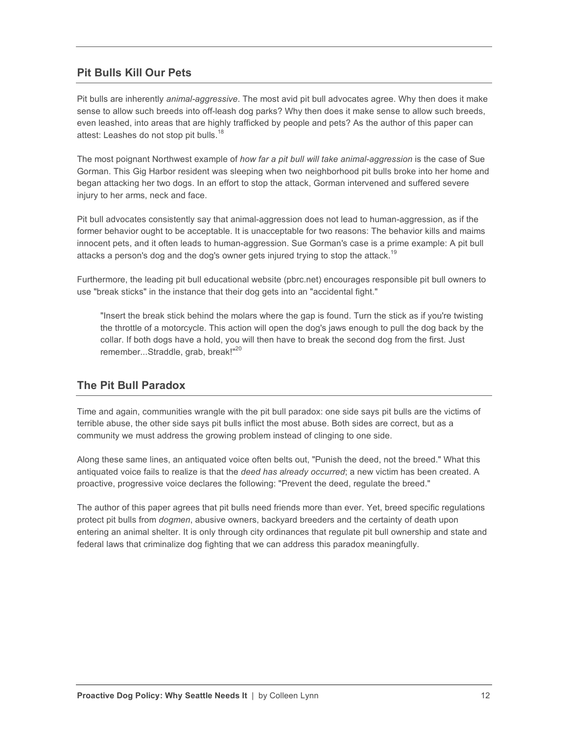### **Pit Bulls Kill Our Pets**

Pit bulls are inherently *animal-aggressive*. The most avid pit bull advocates agree. Why then does it make sense to allow such breeds into off-leash dog parks? Why then does it make sense to allow such breeds, even leashed, into areas that are highly trafficked by people and pets? As the author of this paper can attest: Leashes do not stop pit bulls.<sup>18</sup>

The most poignant Northwest example of *how far a pit bull will take animal-aggression* is the case of Sue Gorman. This Gig Harbor resident was sleeping when two neighborhood pit bulls broke into her home and began attacking her two dogs. In an effort to stop the attack, Gorman intervened and suffered severe injury to her arms, neck and face.

Pit bull advocates consistently say that animal-aggression does not lead to human-aggression, as if the former behavior ought to be acceptable. It is unacceptable for two reasons: The behavior kills and maims innocent pets, and it often leads to human-aggression. Sue Gorman's case is a prime example: A pit bull attacks a person's dog and the dog's owner gets injured trying to stop the attack.<sup>19</sup>

Furthermore, the leading pit bull educational website (pbrc.net) encourages responsible pit bull owners to use "break sticks" in the instance that their dog gets into an "accidental fight."

"Insert the break stick behind the molars where the gap is found. Turn the stick as if you're twisting the throttle of a motorcycle. This action will open the dog's jaws enough to pull the dog back by the collar. If both dogs have a hold, you will then have to break the second dog from the first. Just remember...Straddle, grab, break!"<sup>20</sup>

#### **The Pit Bull Paradox**

Time and again, communities wrangle with the pit bull paradox: one side says pit bulls are the victims of terrible abuse, the other side says pit bulls inflict the most abuse. Both sides are correct, but as a community we must address the growing problem instead of clinging to one side.

Along these same lines, an antiquated voice often belts out, "Punish the deed, not the breed." What this antiquated voice fails to realize is that the *deed has already occurred*; a new victim has been created. A proactive, progressive voice declares the following: "Prevent the deed, regulate the breed."

The author of this paper agrees that pit bulls need friends more than ever. Yet, breed specific regulations protect pit bulls from *dogmen*, abusive owners, backyard breeders and the certainty of death upon entering an animal shelter. It is only through city ordinances that regulate pit bull ownership and state and federal laws that criminalize dog fighting that we can address this paradox meaningfully.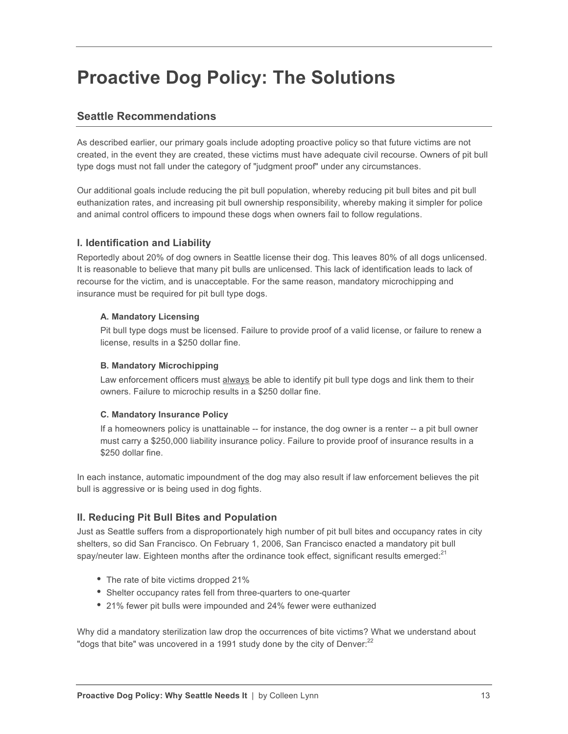## **Proactive Dog Policy: The Solutions**

### **Seattle Recommendations**

As described earlier, our primary goals include adopting proactive policy so that future victims are not created, in the event they are created, these victims must have adequate civil recourse. Owners of pit bull type dogs must not fall under the category of "judgment proof" under any circumstances.

Our additional goals include reducing the pit bull population, whereby reducing pit bull bites and pit bull euthanization rates, and increasing pit bull ownership responsibility, whereby making it simpler for police and animal control officers to impound these dogs when owners fail to follow regulations.

### **I. Identification and Liability**

Reportedly about 20% of dog owners in Seattle license their dog. This leaves 80% of all dogs unlicensed. It is reasonable to believe that many pit bulls are unlicensed. This lack of identification leads to lack of recourse for the victim, and is unacceptable. For the same reason, mandatory microchipping and insurance must be required for pit bull type dogs.

#### **A. Mandatory Licensing**

Pit bull type dogs must be licensed. Failure to provide proof of a valid license, or failure to renew a license, results in a \$250 dollar fine.

#### **B. Mandatory Microchipping**

Law enforcement officers must always be able to identify pit bull type dogs and link them to their owners. Failure to microchip results in a \$250 dollar fine.

#### **C. Mandatory Insurance Policy**

If a homeowners policy is unattainable -- for instance, the dog owner is a renter -- a pit bull owner must carry a \$250,000 liability insurance policy. Failure to provide proof of insurance results in a \$250 dollar fine.

In each instance, automatic impoundment of the dog may also result if law enforcement believes the pit bull is aggressive or is being used in dog fights.

### **II. Reducing Pit Bull Bites and Population**

Just as Seattle suffers from a disproportionately high number of pit bull bites and occupancy rates in city shelters, so did San Francisco. On February 1, 2006, San Francisco enacted a mandatory pit bull spay/neuter law. Eighteen months after the ordinance took effect, significant results emerged: $21$ 

- The rate of bite victims dropped 21%
- Shelter occupancy rates fell from three-quarters to one-quarter
- 21% fewer pit bulls were impounded and 24% fewer were euthanized

Why did a mandatory sterilization law drop the occurrences of bite victims? What we understand about "dogs that bite" was uncovered in a 1991 study done by the city of Denver: $^{22}$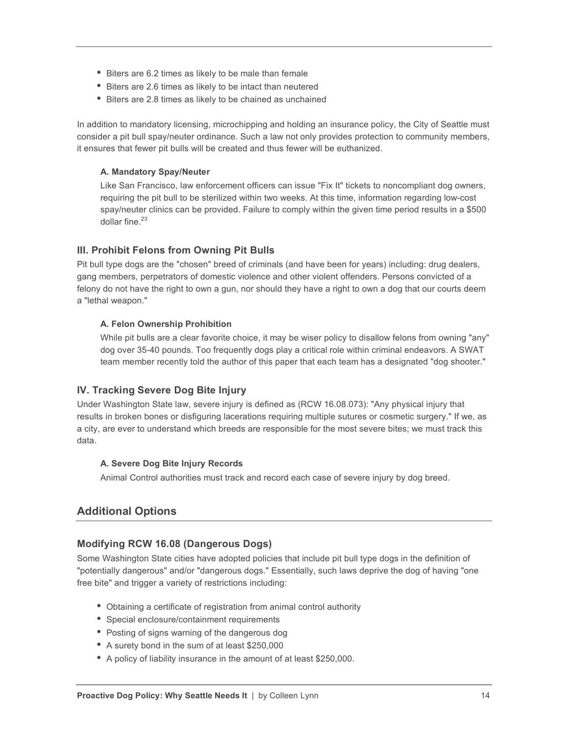- Biters are 6.2 times as likely to be male than female
- Biters are 2.6 times as likely to be intact than neutered
- Biters are 2.8 times as likely to be chained as unchained

In addition to mandatory licensing, microchipping and holding an insurance policy, the City of Seattle must consider a pit bull spay/neuter ordinance. Such a law not only provides protection to community members, it ensures that fewer pit bulls will be created and thus fewer will be euthanized.

#### **A. Mandatory Spay/Neuter**

Like San Francisco, law enforcement officers can issue "Fix It" tickets to noncompliant dog owners, requiring the pit bull to be sterilized within two weeks. At this time, information regarding low-cost spay/neuter clinics can be provided. Failure to comply within the given time period results in a \$500 dollar fine $^{23}$ 

#### **III. Prohibit Felons from Owning Pit Bulls**

Pit bull type dogs are the "chosen" breed of criminals (and have been for years) including: drug dealers, gang members, perpetrators of domestic violence and other violent offenders. Persons convicted of a felony do not have the right to own a gun, nor should they have a right to own a dog that our courts deem a "lethal weapon."

#### **A. Felon Ownership Prohibition**

While pit bulls are a clear favorite choice, it may be wiser policy to disallow felons from owning "any" dog over 35-40 pounds. Too frequently dogs play a critical role within criminal endeavors. A SWAT team member recently told the author of this paper that each team has a designated "dog shooter."

#### **IV. Tracking Severe Dog Bite Injury**

Under Washington State law, severe injury is defined as (RCW 16.08.073): "Any physical injury that results in broken bones or disfiguring lacerations requiring multiple sutures or cosmetic surgery." If we, as a city, are ever to understand which breeds are responsible for the most severe bites; we must track this data.

#### **A. Severe Dog Bite Injury Records**

Animal Control authorities must track and record each case of severe injury by dog breed.

#### **Additional Options**

#### **Modifying RCW 16.08 (Dangerous Dogs)**

Some Washington State cities have adopted policies that include pit bull type dogs in the definition of "potentially dangerous" and/or "dangerous dogs." Essentially, such laws deprive the dog of having "one free bite" and trigger a variety of restrictions including:

- Obtaining a certificate of registration from animal control authority
- Special enclosure/containment requirements
- Posting of signs warning of the dangerous dog
- A surety bond in the sum of at least \$250,000
- A policy of liability insurance in the amount of at least \$250,000.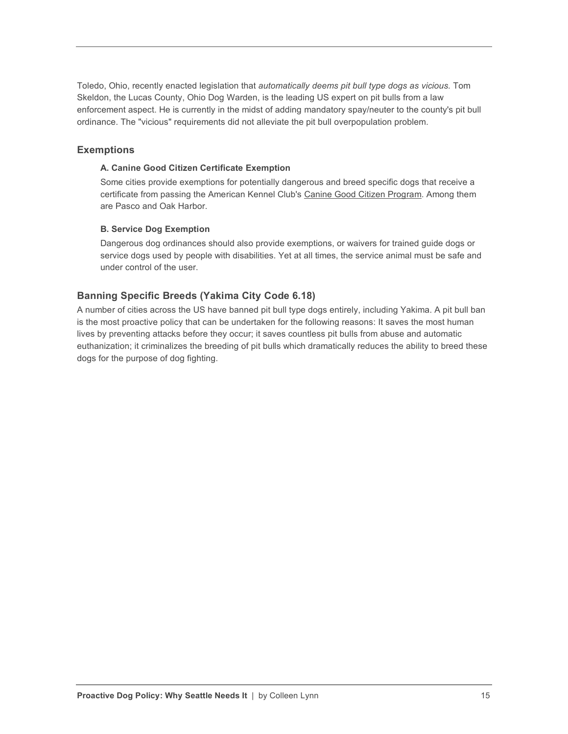Toledo, Ohio, recently enacted legislation that *automatically deems pit bull type dogs as vicious.* Tom Skeldon, the Lucas County, Ohio Dog Warden, is the leading US expert on pit bulls from a law enforcement aspect. He is currently in the midst of adding mandatory spay/neuter to the county's pit bull ordinance. The "vicious" requirements did not alleviate the pit bull overpopulation problem.

#### **Exemptions**

#### **A. Canine Good Citizen Certificate Exemption**

Some cities provide exemptions for potentially dangerous and breed specific dogs that receive a certificate from passing the American Kennel Club's Canine Good Citizen Program. Among them are Pasco and Oak Harbor.

#### **B. Service Dog Exemption**

Dangerous dog ordinances should also provide exemptions, or waivers for trained guide dogs or service dogs used by people with disabilities. Yet at all times, the service animal must be safe and under control of the user.

#### **Banning Specific Breeds (Yakima City Code 6.18)**

A number of cities across the US have banned pit bull type dogs entirely, including Yakima. A pit bull ban is the most proactive policy that can be undertaken for the following reasons: It saves the most human lives by preventing attacks before they occur; it saves countless pit bulls from abuse and automatic euthanization; it criminalizes the breeding of pit bulls which dramatically reduces the ability to breed these dogs for the purpose of dog fighting.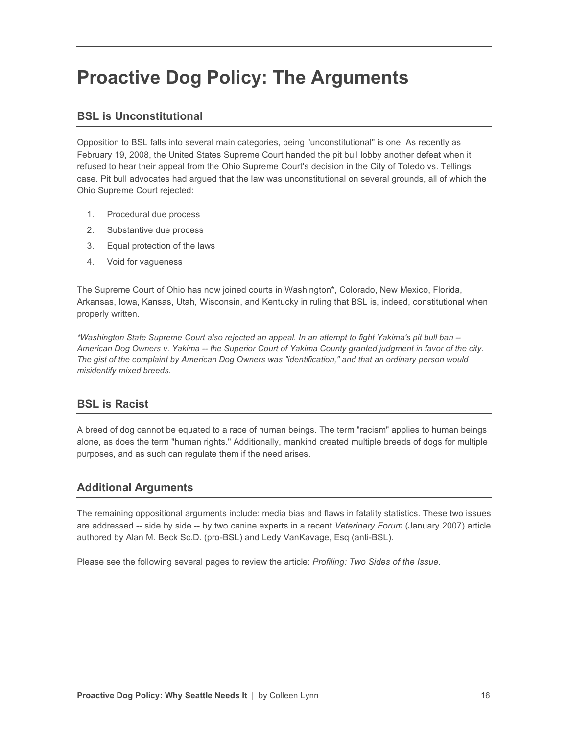## **Proactive Dog Policy: The Arguments**

### **BSL is Unconstitutional**

Opposition to BSL falls into several main categories, being "unconstitutional" is one. As recently as February 19, 2008, the United States Supreme Court handed the pit bull lobby another defeat when it refused to hear their appeal from the Ohio Supreme Court's decision in the City of Toledo vs. Tellings case. Pit bull advocates had argued that the law was unconstitutional on several grounds, all of which the Ohio Supreme Court rejected:

- 1. Procedural due process
- 2. Substantive due process
- 3. Equal protection of the laws
- 4. Void for vagueness

The Supreme Court of Ohio has now joined courts in Washington\*, Colorado, New Mexico, Florida, Arkansas, Iowa, Kansas, Utah, Wisconsin, and Kentucky in ruling that BSL is, indeed, constitutional when properly written.

*\*Washington State Supreme Court also rejected an appeal. In an attempt to fight Yakima's pit bull ban -- American Dog Owners v. Yakima -- the Superior Court of Yakima County granted judgment in favor of the city. The gist of the complaint by American Dog Owners was "identification," and that an ordinary person would misidentify mixed breeds.*

### **BSL is Racist**

A breed of dog cannot be equated to a race of human beings. The term "racism" applies to human beings alone, as does the term "human rights." Additionally, mankind created multiple breeds of dogs for multiple purposes, and as such can regulate them if the need arises.

### **Additional Arguments**

The remaining oppositional arguments include: media bias and flaws in fatality statistics. These two issues are addressed -- side by side -- by two canine experts in a recent *Veterinary Forum* (January 2007) article authored by Alan M. Beck Sc.D. (pro-BSL) and Ledy VanKavage, Esq (anti-BSL).

Please see the following several pages to review the article: *Profiling: Two Sides of the Issue*.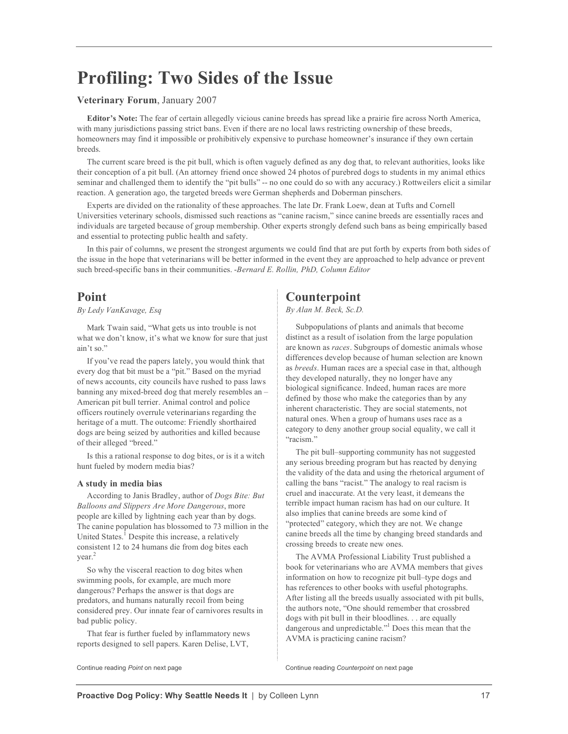## **Profiling: Two Sides of the Issue**

#### **Veterinary Forum**, January 2007

**Editor's Note:** The fear of certain allegedly vicious canine breeds has spread like a prairie fire across North America, with many jurisdictions passing strict bans. Even if there are no local laws restricting ownership of these breeds, homeowners may find it impossible or prohibitively expensive to purchase homeowner's insurance if they own certain breeds.

The current scare breed is the pit bull, which is often vaguely defined as any dog that, to relevant authorities, looks like their conception of a pit bull. (An attorney friend once showed 24 photos of purebred dogs to students in my animal ethics seminar and challenged them to identify the "pit bulls" -- no one could do so with any accuracy.) Rottweilers elicit a similar reaction. A generation ago, the targeted breeds were German shepherds and Doberman pinschers.

Experts are divided on the rationality of these approaches. The late Dr. Frank Loew, dean at Tufts and Cornell Universities veterinary schools, dismissed such reactions as "canine racism," since canine breeds are essentially races and individuals are targeted because of group membership. Other experts strongly defend such bans as being empirically based and essential to protecting public health and safety.

In this pair of columns, we present the strongest arguments we could find that are put forth by experts from both sides of the issue in the hope that veterinarians will be better informed in the event they are approached to help advance or prevent such breed-specific bans in their communities. -*Bernard E. Rollin, PhD, Column Editor*

#### **Point**

#### *By Ledy VanKavage, Esq*

Mark Twain said, "What gets us into trouble is not what we don't know, it's what we know for sure that just ain't so."

If you've read the papers lately, you would think that every dog that bit must be a "pit." Based on the myriad of news accounts, city councils have rushed to pass laws banning any mixed-breed dog that merely resembles an – American pit bull terrier. Animal control and police officers routinely overrule veterinarians regarding the heritage of a mutt. The outcome: Friendly shorthaired dogs are being seized by authorities and killed because of their alleged "breed."

Is this a rational response to dog bites, or is it a witch hunt fueled by modern media bias?

#### **A study in media bias**

According to Janis Bradley, author of *Dogs Bite: But Balloons and Slippers Are More Dangerous*, more people are killed by lightning each year than by dogs. The canine population has blossomed to 73 million in the United States.<sup>1</sup> Despite this increase, a relatively consistent 12 to 24 humans die from dog bites each year.2

So why the visceral reaction to dog bites when swimming pools, for example, are much more dangerous? Perhaps the answer is that dogs are predators, and humans naturally recoil from being considered prey. Our innate fear of carnivores results in bad public policy.

That fear is further fueled by inflammatory news reports designed to sell papers. Karen Delise, LVT,

## **Counterpoint**

*By Alan M. Beck, Sc.D.*

Subpopulations of plants and animals that become distinct as a result of isolation from the large population are known as *races*. Subgroups of domestic animals whose differences develop because of human selection are known as *breeds*. Human races are a special case in that, although they developed naturally, they no longer have any biological significance. Indeed, human races are more defined by those who make the categories than by any inherent characteristic. They are social statements, not natural ones. When a group of humans uses race as a category to deny another group social equality, we call it "racism."

The pit bull–supporting community has not suggested any serious breeding program but has reacted by denying the validity of the data and using the rhetorical argument of calling the bans "racist." The analogy to real racism is cruel and inaccurate. At the very least, it demeans the terrible impact human racism has had on our culture. It also implies that canine breeds are some kind of "protected" category, which they are not. We change canine breeds all the time by changing breed standards and crossing breeds to create new ones.

The AVMA Professional Liability Trust published a book for veterinarians who are AVMA members that gives information on how to recognize pit bull–type dogs and has references to other books with useful photographs. After listing all the breeds usually associated with pit bulls, the authors note, "One should remember that crossbred dogs with pit bull in their bloodlines. . . are equally dangerous and unpredictable."<sup>1</sup> Does this mean that the AVMA is practicing canine racism?

Continue reading *Point* on next page Continue reading *Counterpoint* on next page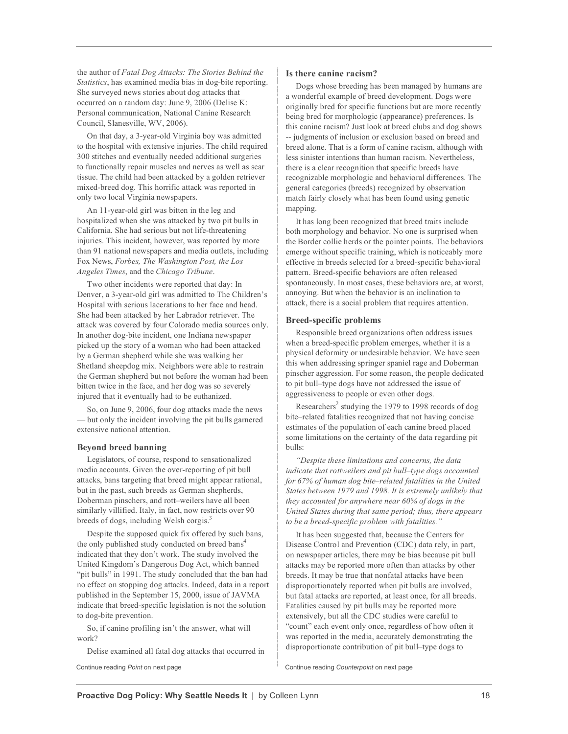the author of *Fatal Dog Attacks: The Stories Behind the Statistics*, has examined media bias in dog-bite reporting. She surveyed news stories about dog attacks that occurred on a random day: June 9, 2006 (Delise K: Personal communication, National Canine Research Council, Slanesville, WV, 2006).

On that day, a 3-year-old Virginia boy was admitted to the hospital with extensive injuries. The child required 300 stitches and eventually needed additional surgeries to functionally repair muscles and nerves as well as scar tissue. The child had been attacked by a golden retriever mixed-breed dog. This horrific attack was reported in only two local Virginia newspapers.

An 11-year-old girl was bitten in the leg and hospitalized when she was attacked by two pit bulls in California. She had serious but not life-threatening injuries. This incident, however, was reported by more than 91 national newspapers and media outlets, including Fox News, *Forbes, The Washington Post, the Los Angeles Times*, and the *Chicago Tribune*.

Two other incidents were reported that day: In Denver, a 3-year-old girl was admitted to The Children's Hospital with serious lacerations to her face and head. She had been attacked by her Labrador retriever. The attack was covered by four Colorado media sources only. In another dog-bite incident, one Indiana newspaper picked up the story of a woman who had been attacked by a German shepherd while she was walking her Shetland sheepdog mix. Neighbors were able to restrain the German shepherd but not before the woman had been bitten twice in the face, and her dog was so severely injured that it eventually had to be euthanized.

So, on June 9, 2006, four dog attacks made the news but only the incident involving the pit bulls garnered extensive national attention.

#### **Beyond breed banning**

Legislators, of course, respond to sensationalized media accounts. Given the over-reporting of pit bull attacks, bans targeting that breed might appear rational, but in the past, such breeds as German shepherds, Doberman pinschers, and rott–weilers have all been similarly villified. Italy, in fact, now restricts over 90 breeds of dogs, including Welsh corgis.3

Despite the supposed quick fix offered by such bans, the only published study conducted on breed bans<sup>4</sup> indicated that they don't work. The study involved the United Kingdom's Dangerous Dog Act, which banned "pit bulls" in 1991. The study concluded that the ban had no effect on stopping dog attacks. Indeed, data in a report published in the September 15, 2000, issue of JAVMA indicate that breed-specific legislation is not the solution to dog-bite prevention.

So, if canine profiling isn't the answer, what will work?

Delise examined all fatal dog attacks that occurred in

#### **Is there canine racism?**

Dogs whose breeding has been managed by humans are a wonderful example of breed development. Dogs were originally bred for specific functions but are more recently being bred for morphologic (appearance) preferences. Is this canine racism? Just look at breed clubs and dog shows -- judgments of inclusion or exclusion based on breed and breed alone. That is a form of canine racism, although with less sinister intentions than human racism. Nevertheless, there is a clear recognition that specific breeds have recognizable morphologic and behavioral differences. The general categories (breeds) recognized by observation match fairly closely what has been found using genetic mapping.

It has long been recognized that breed traits include both morphology and behavior. No one is surprised when the Border collie herds or the pointer points. The behaviors emerge without specific training, which is noticeably more effective in breeds selected for a breed-specific behavioral pattern. Breed-specific behaviors are often released spontaneously. In most cases, these behaviors are, at worst, annoying. But when the behavior is an inclination to attack, there is a social problem that requires attention.

#### **Breed-specific problems**

Responsible breed organizations often address issues when a breed-specific problem emerges, whether it is a physical deformity or undesirable behavior. We have seen this when addressing springer spaniel rage and Doberman pinscher aggression. For some reason, the people dedicated to pit bull–type dogs have not addressed the issue of aggressiveness to people or even other dogs.

Researchers<sup>2</sup> studying the 1979 to 1998 records of dog bite–related fatalities recognized that not having concise estimates of the population of each canine breed placed some limitations on the certainty of the data regarding pit bulls:

*"Despite these limitations and concerns, the data indicate that rottweilers and pit bull–type dogs accounted for 67% of human dog bite–related fatalities in the United States between 1979 and 1998. It is extremely unlikely that they accounted for anywhere near 60% of dogs in the United States during that same period; thus, there appears to be a breed-specific problem with fatalities."*

It has been suggested that, because the Centers for Disease Control and Prevention (CDC) data rely, in part, on newspaper articles, there may be bias because pit bull attacks may be reported more often than attacks by other breeds. It may be true that nonfatal attacks have been disproportionately reported when pit bulls are involved, but fatal attacks are reported, at least once, for all breeds. Fatalities caused by pit bulls may be reported more extensively, but all the CDC studies were careful to "count" each event only once, regardless of how often it was reported in the media, accurately demonstrating the disproportionate contribution of pit bull–type dogs to

Continue reading *Point* on next page Continue reading *Counterpoint* on next page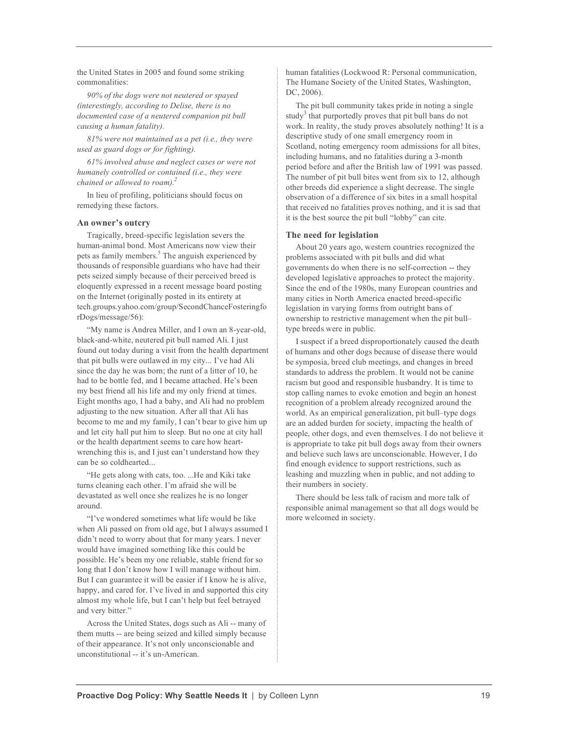the United States in 2005 and found some striking commonalities:

*90% of the dogs were not neutered or spayed (interestingly, according to Delise, there is no documented case of a neutered companion pit bull causing a human fatality).*

*81% were not maintained as a pet (i.e., they were used as guard dogs or for fighting).*

*61% involved abuse and neglect cases or were not humanely controlled or contained (i.e., they were chained or allowed to roam).2*

In lieu of profiling, politicians should focus on remedying these factors.

#### **An owner's outcry**

Tragically, breed-specific legislation severs the human-animal bond. Most Americans now view their pets as family members.<sup>5</sup> The anguish experienced by thousands of responsible guardians who have had their pets seized simply because of their perceived breed is eloquently expressed in a recent message board posting on the Internet (originally posted in its entirety at tech.groups.yahoo.com/group/SecondChanceFosteringfo rDogs/message/56):

"My name is Andrea Miller, and I own an 8-year-old, black-and-white, neutered pit bull named Ali. I just found out today during a visit from the health department that pit bulls were outlawed in my city... I've had Ali since the day he was born; the runt of a litter of 10, he had to be bottle fed, and I became attached. He's been my best friend all his life and my only friend at times. Eight months ago, I had a baby, and Ali had no problem adjusting to the new situation. After all that Ali has become to me and my family, I can't bear to give him up and let city hall put him to sleep. But no one at city hall or the health department seems to care how heartwrenching this is, and I just can't understand how they can be so coldhearted...

"He gets along with cats, too. ...He and Kiki take turns cleaning each other. I'm afraid she will be devastated as well once she realizes he is no longer around.

"I've wondered sometimes what life would be like when Ali passed on from old age, but I always assumed I didn't need to worry about that for many years. I never would have imagined something like this could be possible. He's been my one reliable, stable friend for so long that I don't know how I will manage without him. But I can guarantee it will be easier if I know he is alive, happy, and cared for. I've lived in and supported this city almost my whole life, but I can't help but feel betrayed and very bitter."

Across the United States, dogs such as Ali -- many of them mutts -- are being seized and killed simply because of their appearance. It's not only unconscionable and unconstitutional -- it's un-American.

human fatalities (Lockwood R: Personal communication, The Humane Society of the United States, Washington, DC, 2006).

The pit bull community takes pride in noting a single study<sup>3</sup> that purportedly proves that pit bull bans do not work. In reality, the study proves absolutely nothing! It is a descriptive study of one small emergency room in Scotland, noting emergency room admissions for all bites, including humans, and no fatalities during a 3-month period before and after the British law of 1991 was passed. The number of pit bull bites went from six to 12, although other breeds did experience a slight decrease. The single observation of a difference of six bites in a small hospital that received no fatalities proves nothing, and it is sad that it is the best source the pit bull "lobby" can cite.

#### **The need for legislation**

About 20 years ago, western countries recognized the problems associated with pit bulls and did what governments do when there is no self-correction -- they developed legislative approaches to protect the majority. Since the end of the 1980s, many European countries and many cities in North America enacted breed-specific legislation in varying forms from outright bans of ownership to restrictive management when the pit bull– type breeds were in public.

I suspect if a breed disproportionately caused the death of humans and other dogs because of disease there would be symposia, breed club meetings, and changes in breed standards to address the problem. It would not be canine racism but good and responsible husbandry. It is time to stop calling names to evoke emotion and begin an honest recognition of a problem already recognized around the world. As an empirical generalization, pit bull–type dogs are an added burden for society, impacting the health of people, other dogs, and even themselves. I do not believe it is appropriate to take pit bull dogs away from their owners and believe such laws are unconscionable. However, I do find enough evidence to support restrictions, such as leashing and muzzling when in public, and not adding to their numbers in society.

There should be less talk of racism and more talk of responsible animal management so that all dogs would be more welcomed in society.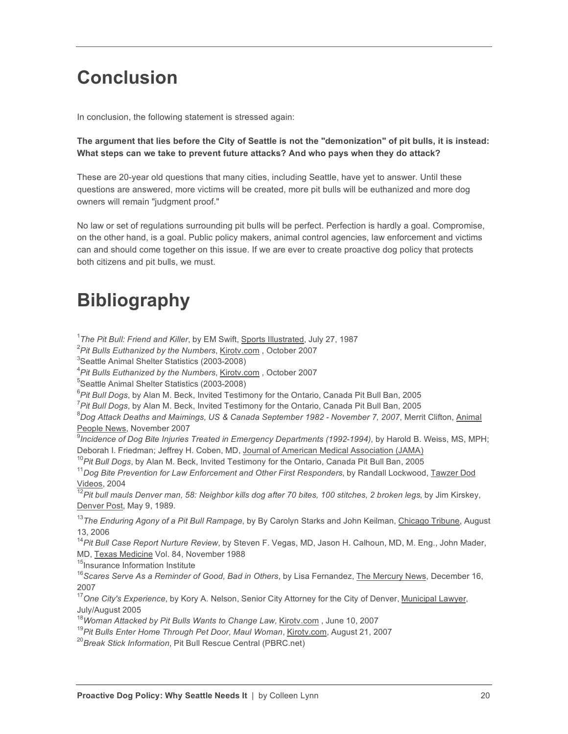## **Conclusion**

In conclusion, the following statement is stressed again:

#### **The argument that lies before the City of Seattle is not the "demonization" of pit bulls, it is instead: What steps can we take to prevent future attacks? And who pays when they do attack?**

These are 20-year old questions that many cities, including Seattle, have yet to answer. Until these questions are answered, more victims will be created, more pit bulls will be euthanized and more dog owners will remain "judgment proof."

No law or set of regulations surrounding pit bulls will be perfect. Perfection is hardly a goal. Compromise, on the other hand, is a goal. Public policy makers, animal control agencies, law enforcement and victims can and should come together on this issue. If we are ever to create proactive dog policy that protects both citizens and pit bulls, we must.

## **Bibliography**

<sup>1</sup>The Pit Bull: Friend and Killer, by EM Swift, Sports Illustrated, July 27, 1987

2 *Pit Bulls Euthanized by the Numbers*, Kirotv.com , October 2007

<sup>3</sup>Seattle Animal Shelter Statistics (2003-2008)

4 *Pit Bulls Euthanized by the Numbers*, Kirotv.com , October 2007

5 Seattle Animal Shelter Statistics (2003-2008)

6 *Pit Bull Dogs*, by Alan M. Beck, Invited Testimony for the Ontario, Canada Pit Bull Ban, 2005

7 *Pit Bull Dogs*, by Alan M. Beck, Invited Testimony for the Ontario, Canada Pit Bull Ban, 2005

8 *Dog Attack Deaths and Maimings, US & Canada September 1982 - November 7, 2007*, Merrit Clifton, Animal People News, November 2007

9 *Incidence of Dog Bite Injuries Treated in Emergency Departments (1992-1994)*, by Harold B. Weiss, MS, MPH; Deborah I. Friedman; Jeffrey H. Coben, MD, Journal of American Medical Association (JAMA)

<sup>10</sup>*Pit Bull Dogs*, by Alan M. Beck, Invited Testimony for the Ontario, Canada Pit Bull Ban, 2005

<sup>11</sup>*Dog Bite Prevention for Law Enforcement and Other First Responders*, by Randall Lockwood, Tawzer Dod Videos, 2004

<sup>12</sup>*Pit bull mauls Denver man, 58: Neighbor kills dog after 70 bites, 100 stitches, 2 broken legs*, by Jim Kirskey, Denver Post, May 9, 1989.

<sup>13</sup>*The Enduring Agony of a Pit Bull Rampage*, by By Carolyn Starks and John Keilman, Chicago Tribune, August 13, 2006

<sup>14</sup>*Pit Bull Case Report Nurture Review*, by Steven F. Vegas, MD, Jason H. Calhoun, MD, M. Eng., John Mader, MD, Texas Medicine Vol. 84, November 1988

<sup>15</sup>Insurance Information Institute

<sup>16</sup> Scares Serve As a Reminder of Good, Bad in Others, by Lisa Fernandez, The Mercury News, December 16, 2007

<sup>17</sup>*One City's Experience*, by Kory A. Nelson, Senior City Attorney for the City of Denver, Municipal Lawyer, July/August 2005

<sup>18</sup>Woman Attacked by Pit Bulls Wants to Change Law, Kirotv.com, June 10, 2007

<sup>19</sup>*Pit Bulls Enter Home Through Pet Door, Maul Woman*, Kirotv.com, August 21, 2007

<sup>20</sup>*Break Stick Information*, Pit Bull Rescue Central (PBRC.net)